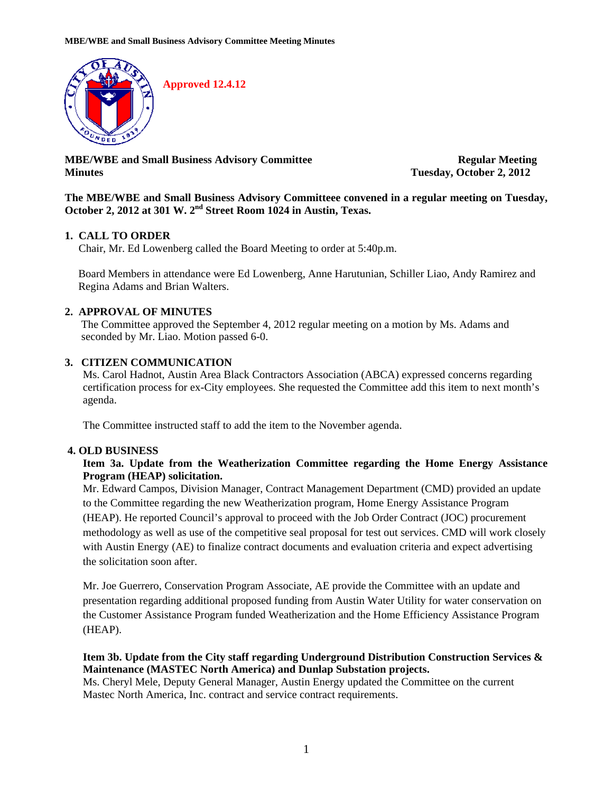

**MBE/WBE and Small Business Advisory Committee Regular Meeting Minutes Tuesday, October 2, 2012** 

#### **The MBE/WBE and Small Business Advisory Committeee convened in a regular meeting on Tuesday, October 2, 2012 at 301 W. 2nd Street Room 1024 in Austin, Texas.**

# **1. CALL TO ORDER**

Chair, Mr. Ed Lowenberg called the Board Meeting to order at 5:40p.m.

Board Members in attendance were Ed Lowenberg, Anne Harutunian, Schiller Liao, Andy Ramirez and Regina Adams and Brian Walters.

# **2. APPROVAL OF MINUTES**

The Committee approved the September 4, 2012 regular meeting on a motion by Ms. Adams and seconded by Mr. Liao. Motion passed 6-0.

# **3. CITIZEN COMMUNICATION**

Ms. Carol Hadnot, Austin Area Black Contractors Association (ABCA) expressed concerns regarding certification process for ex-City employees. She requested the Committee add this item to next month's agenda.

The Committee instructed staff to add the item to the November agenda.

# **4. OLD BUSINESS**

### **Item 3a. Update from the Weatherization Committee regarding the Home Energy Assistance Program (HEAP) solicitation.**

Mr. Edward Campos, Division Manager, Contract Management Department (CMD) provided an update to the Committee regarding the new Weatherization program, Home Energy Assistance Program (HEAP). He reported Council's approval to proceed with the Job Order Contract (JOC) procurement methodology as well as use of the competitive seal proposal for test out services. CMD will work closely with Austin Energy (AE) to finalize contract documents and evaluation criteria and expect advertising the solicitation soon after.

Mr. Joe Guerrero, Conservation Program Associate, AE provide the Committee with an update and presentation regarding additional proposed funding from Austin Water Utility for water conservation on the Customer Assistance Program funded Weatherization and the Home Efficiency Assistance Program (HEAP).

### **Item 3b. Update from the City staff regarding Underground Distribution Construction Services & Maintenance (MASTEC North America) and Dunlap Substation projects.**

Ms. Cheryl Mele, Deputy General Manager, Austin Energy updated the Committee on the current Mastec North America, Inc. contract and service contract requirements.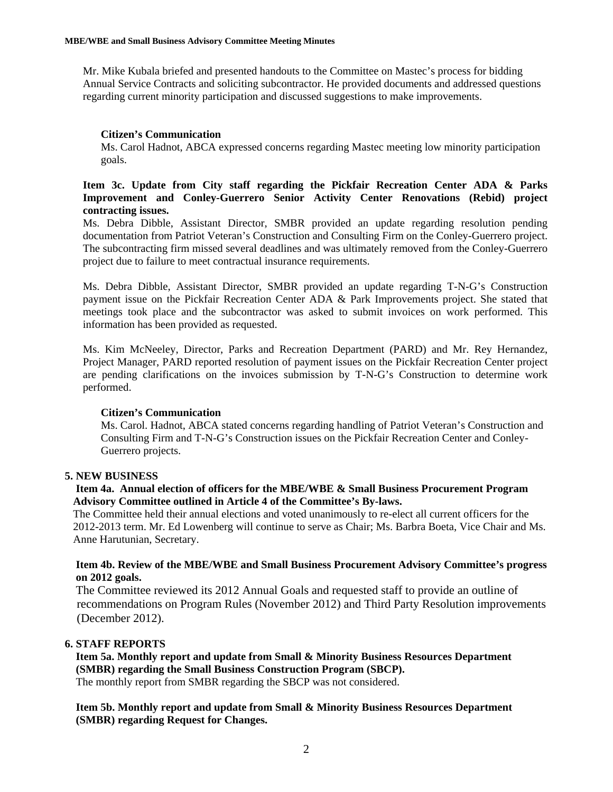Mr. Mike Kubala briefed and presented handouts to the Committee on Mastec's process for bidding Annual Service Contracts and soliciting subcontractor. He provided documents and addressed questions regarding current minority participation and discussed suggestions to make improvements.

#### **Citizen's Communication**

Ms. Carol Hadnot, ABCA expressed concerns regarding Mastec meeting low minority participation goals.

#### **Item 3c. Update from City staff regarding the Pickfair Recreation Center ADA & Parks Improvement and Conley-Guerrero Senior Activity Center Renovations (Rebid) project contracting issues.**

Ms. Debra Dibble, Assistant Director, SMBR provided an update regarding resolution pending documentation from Patriot Veteran's Construction and Consulting Firm on the Conley-Guerrero project. The subcontracting firm missed several deadlines and was ultimately removed from the Conley-Guerrero project due to failure to meet contractual insurance requirements.

Ms. Debra Dibble, Assistant Director, SMBR provided an update regarding T-N-G's Construction payment issue on the Pickfair Recreation Center ADA & Park Improvements project. She stated that meetings took place and the subcontractor was asked to submit invoices on work performed. This information has been provided as requested.

Ms. Kim McNeeley, Director, Parks and Recreation Department (PARD) and Mr. Rey Hernandez, Project Manager, PARD reported resolution of payment issues on the Pickfair Recreation Center project are pending clarifications on the invoices submission by T-N-G's Construction to determine work performed.

#### **Citizen's Communication**

Ms. Carol. Hadnot, ABCA stated concerns regarding handling of Patriot Veteran's Construction and Consulting Firm and T-N-G's Construction issues on the Pickfair Recreation Center and Conley-Guerrero projects.

#### **5. NEW BUSINESS**

#### **Item 4a. Annual election of officers for the MBE/WBE & Small Business Procurement Program Advisory Committee outlined in Article 4 of the Committee's By-laws.**

The Committee held their annual elections and voted unanimously to re-elect all current officers for the 2012-2013 term. Mr. Ed Lowenberg will continue to serve as Chair; Ms. Barbra Boeta, Vice Chair and Ms. Anne Harutunian, Secretary.

#### **Item 4b. Review of the MBE/WBE and Small Business Procurement Advisory Committee's progress on 2012 goals.**

 The Committee reviewed its 2012 Annual Goals and requested staff to provide an outline of recommendations on Program Rules (November 2012) and Third Party Resolution improvements (December 2012).

#### **6. STAFF REPORTS**

 **Item 5a. Monthly report and update from Small & Minority Business Resources Department (SMBR) regarding the Small Business Construction Program (SBCP).**  The monthly report from SMBR regarding the SBCP was not considered.

 **Item 5b. Monthly report and update from Small & Minority Business Resources Department (SMBR) regarding Request for Changes.**